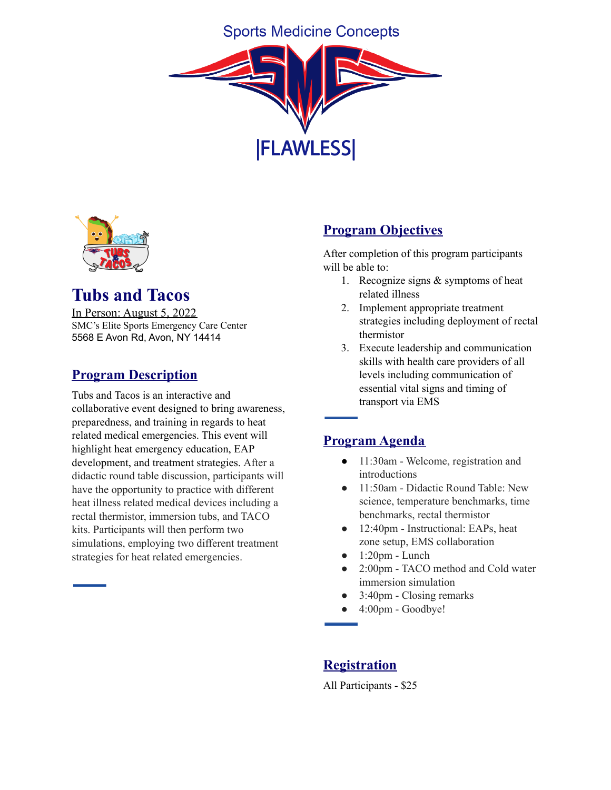# **Sports Medicine Concepts**





# **Tubs and Tacos**

In Person: August 5, 2022 SMC's Elite Sports Emergency Care Center 5568 E Avon Rd, Avon, NY 14414

# **Program Description**

Tubs and Tacos is an interactive and collaborative event designed to bring awareness, preparedness, and training in regards to heat related medical emergencies. This event will highlight heat emergency education, EAP development, and treatment strategies. After a didactic round table discussion, participants will have the opportunity to practice with different heat illness related medical devices including a rectal thermistor, immersion tubs, and TACO kits. Participants will then perform two simulations, employing two different treatment strategies for heat related emergencies.

## **Program Objectives**

After completion of this program participants will be able to:

- 1. Recognize signs & symptoms of heat related illness
- 2. Implement appropriate treatment strategies including deployment of rectal thermistor
- 3. Execute leadership and communication skills with health care providers of all levels including communication of essential vital signs and timing of transport via EMS

### **Program Agenda**

- 11:30am Welcome, registration and introductions
- 11:50am Didactic Round Table: New science, temperature benchmarks, time benchmarks, rectal thermistor
- 12:40pm Instructional: EAPs, heat zone setup, EMS collaboration
- $\bullet$  1:20pm Lunch
- 2:00pm TACO method and Cold water immersion simulation
- 3:40pm Closing remarks
- 4:00pm Goodbye!

# **Registration**

All Participants - \$25